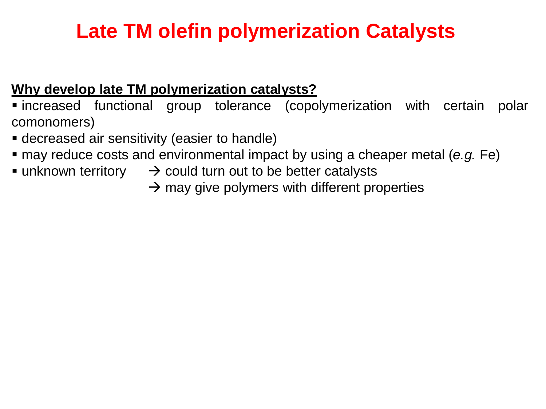# **Late TM olefin polymerization Catalysts**

### **Why develop late TM polymerization catalysts?**

▪ increased functional group tolerance (copolymerization with certain polar comonomers)

- **E** decreased air sensitivity (easier to handle)
- may reduce costs and environmental impact by using a cheaper metal (*e.g.* Fe)
- unknown territory  $\rightarrow$  could turn out to be better catalysts
	- $\rightarrow$  may give polymers with different properties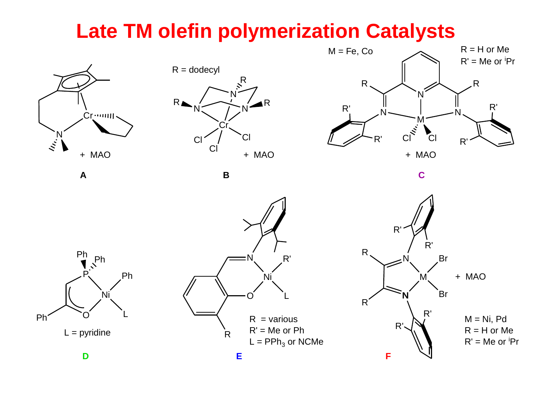## **Late TM olefin polymerization Catalysts**







**A B C**







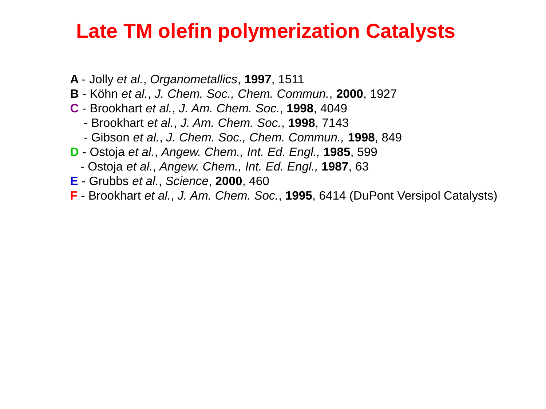### **Late TM olefin polymerization Catalysts**

- **A** Jolly *et al.*, *Organometallics*, **1997**, 1511
- **B** Köhn *et al.*, *J. Chem. Soc., Chem. Commun.*, **2000**, 1927
- **C** Brookhart *et al.*, *J. Am. Chem. Soc.*, **1998**, 4049
	- Brookhart *et al.*, *J. Am. Chem. Soc.*, **1998**, 7143
	- Gibson *et al.*, *J. Chem. Soc., Chem. Commun.,* **1998**, 849
- **D** Ostoja *et al.*, *Angew. Chem., Int. Ed. Engl.,* **1985**, 599
	- Ostoja *et al.*, *Angew. Chem., Int. Ed. Engl.,* **1987**, 63
- **E** Grubbs *et al.*, *Science*, **2000**, 460
- **F** Brookhart *et al.*, *J. Am. Chem. Soc.*, **1995**, 6414 (DuPont Versipol Catalysts)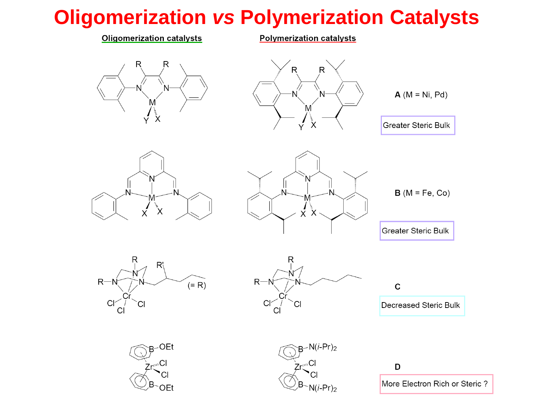# **Oligomerization** *vs* **Polymerization Catalysts**

#### **Oligomerization catalysts**

**Polymerization catalysts** 







**Greater Steric Bulk** 





 $B(M = Fe, Co)$ 

**Greater Steric Bulk** 





 $\mathbf C$ Decreased Steric Bulk





D

More Electron Rich or Steric?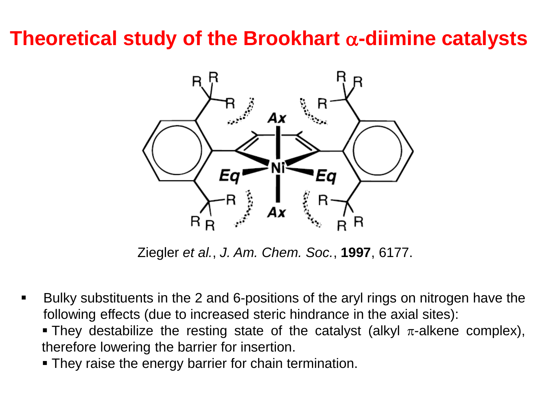# **Theoretical study of the Brookhart** a**-diimine catalysts**



Ziegler *et al.*, *J. Am. Chem. Soc.*, **1997**, 6177.

- Bulky substituents in the 2 and 6-positions of the aryl rings on nitrogen have the following effects (due to increased steric hindrance in the axial sites):
	- **They destabilize the resting state of the catalyst (alkyl**  $\pi$ **-alkene complex),** therefore lowering the barrier for insertion.
	- **They raise the energy barrier for chain termination.**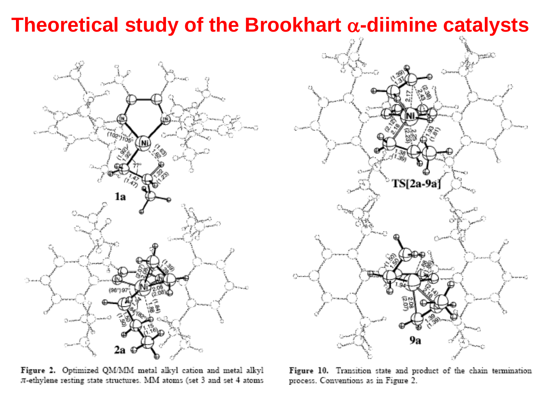## **Theoretical study of the Brookhart** a**-diimine catalysts**



Figure 2. Optimized QM/MM metal alkyl cation and metal alkyl  $\pi$ -ethylene resting state structures. MM atoms (set 3 and set 4 atoms



Figure 10. Transition state and product of the chain termination process. Conventions as in Figure 2.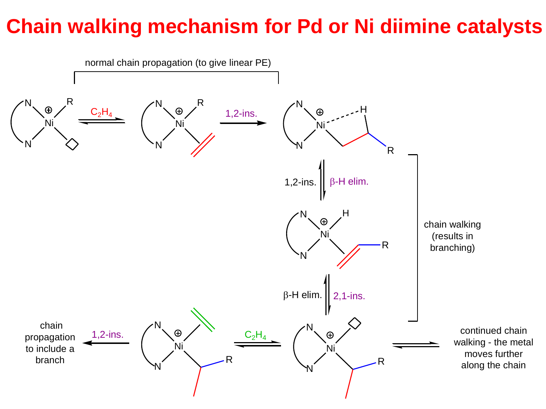# **Chain walking mechanism for Pd or Ni diimine catalysts**